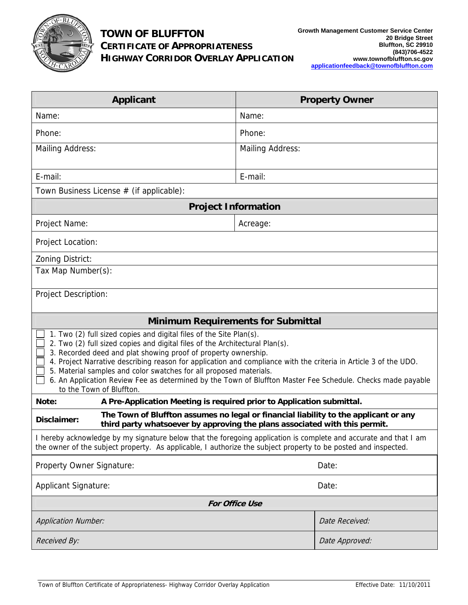

## **TOWN OF BLUFFTON CERTIFICATE OF APPROPRIATENESS HIGHWAY CORRIDOR OVERLAY APPLICATION**

| <b>Applicant</b>                                                                                                                                                                                                                                                                                                                                                                                                                                                                                                                                           | <b>Property Owner</b>   |  |  |
|------------------------------------------------------------------------------------------------------------------------------------------------------------------------------------------------------------------------------------------------------------------------------------------------------------------------------------------------------------------------------------------------------------------------------------------------------------------------------------------------------------------------------------------------------------|-------------------------|--|--|
| Name:                                                                                                                                                                                                                                                                                                                                                                                                                                                                                                                                                      | Name:                   |  |  |
| Phone:                                                                                                                                                                                                                                                                                                                                                                                                                                                                                                                                                     | Phone:                  |  |  |
| <b>Mailing Address:</b>                                                                                                                                                                                                                                                                                                                                                                                                                                                                                                                                    | <b>Mailing Address:</b> |  |  |
| E-mail:                                                                                                                                                                                                                                                                                                                                                                                                                                                                                                                                                    | E-mail:                 |  |  |
| Town Business License # (if applicable):                                                                                                                                                                                                                                                                                                                                                                                                                                                                                                                   |                         |  |  |
| <b>Project Information</b>                                                                                                                                                                                                                                                                                                                                                                                                                                                                                                                                 |                         |  |  |
| Project Name:                                                                                                                                                                                                                                                                                                                                                                                                                                                                                                                                              | Acreage:                |  |  |
| Project Location:                                                                                                                                                                                                                                                                                                                                                                                                                                                                                                                                          |                         |  |  |
| Zoning District:                                                                                                                                                                                                                                                                                                                                                                                                                                                                                                                                           |                         |  |  |
| Tax Map Number(s):                                                                                                                                                                                                                                                                                                                                                                                                                                                                                                                                         |                         |  |  |
| <b>Project Description:</b>                                                                                                                                                                                                                                                                                                                                                                                                                                                                                                                                |                         |  |  |
| <b>Minimum Requirements for Submittal</b>                                                                                                                                                                                                                                                                                                                                                                                                                                                                                                                  |                         |  |  |
| 1. Two (2) full sized copies and digital files of the Site Plan(s).<br>2. Two (2) full sized copies and digital files of the Architectural Plan(s).<br>3. Recorded deed and plat showing proof of property ownership.<br>4. Project Narrative describing reason for application and compliance with the criteria in Article 3 of the UDO.<br>5. Material samples and color swatches for all proposed materials.<br>6. An Application Review Fee as determined by the Town of Bluffton Master Fee Schedule. Checks made payable<br>to the Town of Bluffton. |                         |  |  |
| A Pre-Application Meeting is required prior to Application submittal.<br>Note:                                                                                                                                                                                                                                                                                                                                                                                                                                                                             |                         |  |  |
| The Town of Bluffton assumes no legal or financial liability to the applicant or any<br>Disclaimer:<br>third party whatsoever by approving the plans associated with this permit.                                                                                                                                                                                                                                                                                                                                                                          |                         |  |  |
| I hereby acknowledge by my signature below that the foregoing application is complete and accurate and that I am<br>the owner of the subject property. As applicable, I authorize the subject property to be posted and inspected.                                                                                                                                                                                                                                                                                                                         |                         |  |  |
| Property Owner Signature:<br>Date:                                                                                                                                                                                                                                                                                                                                                                                                                                                                                                                         |                         |  |  |
| <b>Applicant Signature:</b>                                                                                                                                                                                                                                                                                                                                                                                                                                                                                                                                | Date:                   |  |  |
| <b>For Office Use</b>                                                                                                                                                                                                                                                                                                                                                                                                                                                                                                                                      |                         |  |  |
| <b>Application Number:</b>                                                                                                                                                                                                                                                                                                                                                                                                                                                                                                                                 | Date Received:          |  |  |
| Received By:                                                                                                                                                                                                                                                                                                                                                                                                                                                                                                                                               | Date Approved:          |  |  |